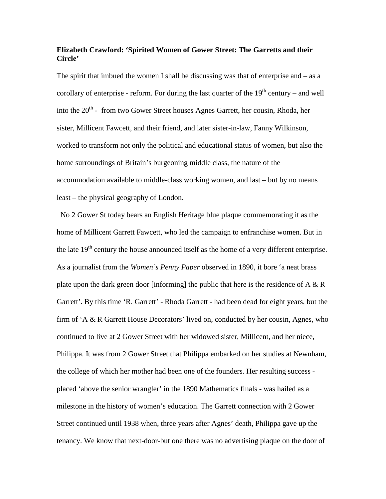## **Elizabeth Crawford: 'Spirited Women of Gower Street: The Garretts and their Circle'**

The spirit that imbued the women I shall be discussing was that of enterprise and  $-$  as a corollary of enterprise - reform. For during the last quarter of the  $19<sup>th</sup>$  century – and well into the 20<sup>th</sup> - from two Gower Street houses Agnes Garrett, her cousin, Rhoda, her sister, Millicent Fawcett, and their friend, and later sister-in-law, Fanny Wilkinson, worked to transform not only the political and educational status of women, but also the home surroundings of Britain's burgeoning middle class, the nature of the accommodation available to middle-class working women, and last – but by no means least – the physical geography of London.

No 2 Gower St today bears an English Heritage blue plaque commemorating it as the home of Millicent Garrett Fawcett, who led the campaign to enfranchise women. But in the late  $19<sup>th</sup>$  century the house announced itself as the home of a very different enterprise. As a journalist from the *Women's Penny Paper* observed in 1890, it bore 'a neat brass plate upon the dark green door [informing] the public that here is the residence of  $A \& R$ Garrett'. By this time 'R. Garrett' - Rhoda Garrett - had been dead for eight years, but the firm of 'A & R Garrett House Decorators' lived on, conducted by her cousin, Agnes, who continued to live at 2 Gower Street with her widowed sister, Millicent, and her niece, Philippa. It was from 2 Gower Street that Philippa embarked on her studies at Newnham, the college of which her mother had been one of the founders. Her resulting success placed 'above the senior wrangler' in the 1890 Mathematics finals - was hailed as a milestone in the history of women's education. The Garrett connection with 2 Gower Street continued until 1938 when, three years after Agnes' death, Philippa gave up the tenancy. We know that next-door-but one there was no advertising plaque on the door of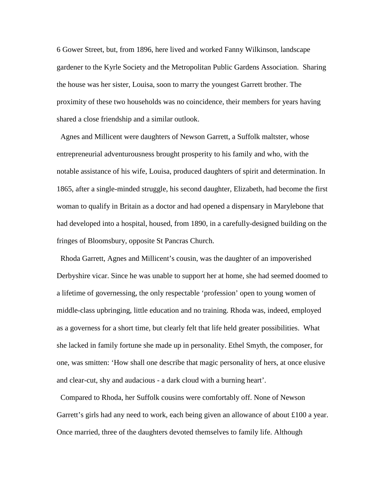6 Gower Street, but, from 1896, here lived and worked Fanny Wilkinson, landscape gardener to the Kyrle Society and the Metropolitan Public Gardens Association. Sharing the house was her sister, Louisa, soon to marry the youngest Garrett brother. The proximity of these two households was no coincidence, their members for years having shared a close friendship and a similar outlook.

Agnes and Millicent were daughters of Newson Garrett, a Suffolk maltster, whose entrepreneurial adventurousness brought prosperity to his family and who, with the notable assistance of his wife, Louisa, produced daughters of spirit and determination. In 1865, after a single-minded struggle, his second daughter, Elizabeth, had become the first woman to qualify in Britain as a doctor and had opened a dispensary in Marylebone that had developed into a hospital, housed, from 1890, in a carefully-designed building on the fringes of Bloomsbury, opposite St Pancras Church.

Rhoda Garrett, Agnes and Millicent's cousin, was the daughter of an impoverished Derbyshire vicar. Since he was unable to support her at home, she had seemed doomed to a lifetime of governessing, the only respectable 'profession' open to young women of middle-class upbringing, little education and no training. Rhoda was, indeed, employed as a governess for a short time, but clearly felt that life held greater possibilities. What she lacked in family fortune she made up in personality. Ethel Smyth, the composer, for one, was smitten: 'How shall one describe that magic personality of hers, at once elusive and clear-cut, shy and audacious - a dark cloud with a burning heart'.

Compared to Rhoda, her Suffolk cousins were comfortably off. None of Newson Garrett's girls had any need to work, each being given an allowance of about £100 a year. Once married, three of the daughters devoted themselves to family life. Although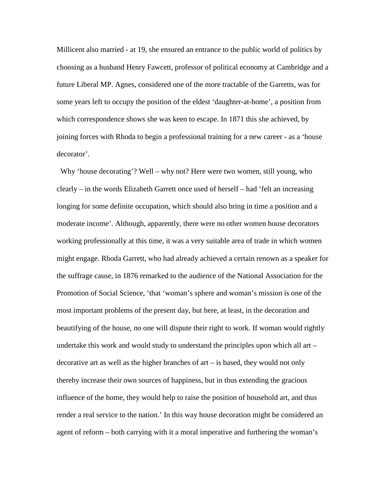Millicent also married - at 19, she ensured an entrance to the public world of politics by choosing as a husband Henry Fawcett, professor of political economy at Cambridge and a future Liberal MP. Agnes, considered one of the more tractable of the Garretts, was for some years left to occupy the position of the eldest 'daughter-at-home', a position from which correspondence shows she was keen to escape. In 1871 this she achieved, by joining forces with Rhoda to begin a professional training for a new career - as a 'house decorator'.

Why 'house decorating'? Well – why not? Here were two women, still young, who clearly – in the words Elizabeth Garrett once used of herself – had 'felt an increasing longing for some definite occupation, which should also bring in time a position and a moderate income'. Although, apparently, there were no other women house decorators working professionally at this time, it was a very suitable area of trade in which women might engage. Rhoda Garrett, who had already achieved a certain renown as a speaker for the suffrage cause, in 1876 remarked to the audience of the National Association for the Promotion of Social Science, 'that 'woman's sphere and woman's mission is one of the most important problems of the present day, but here, at least, in the decoration and beautifying of the house, no one will dispute their right to work. If woman would rightly undertake this work and would study to understand the principles upon which all art – decorative art as well as the higher branches of art – is based, they would not only thereby increase their own sources of happiness, but in thus extending the gracious influence of the home, they would help to raise the position of household art, and thus render a real service to the nation.' In this way house decoration might be considered an agent of reform – both carrying with it a moral imperative and furthering the woman's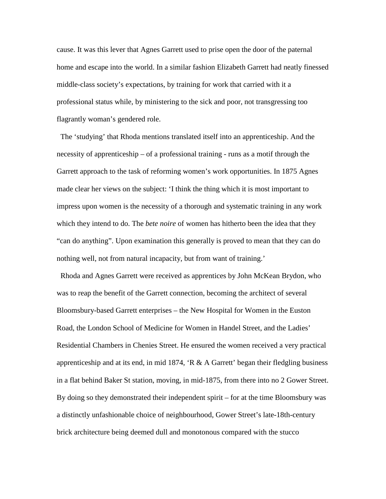cause. It was this lever that Agnes Garrett used to prise open the door of the paternal home and escape into the world. In a similar fashion Elizabeth Garrett had neatly finessed middle-class society's expectations, by training for work that carried with it a professional status while, by ministering to the sick and poor, not transgressing too flagrantly woman's gendered role.

The 'studying' that Rhoda mentions translated itself into an apprenticeship. And the necessity of apprenticeship – of a professional training - runs as a motif through the Garrett approach to the task of reforming women's work opportunities. In 1875 Agnes made clear her views on the subject: 'I think the thing which it is most important to impress upon women is the necessity of a thorough and systematic training in any work which they intend to do. The *bete noire* of women has hitherto been the idea that they "can do anything". Upon examination this generally is proved to mean that they can do nothing well, not from natural incapacity, but from want of training.'

Rhoda and Agnes Garrett were received as apprentices by John McKean Brydon, who was to reap the benefit of the Garrett connection, becoming the architect of several Bloomsbury-based Garrett enterprises – the New Hospital for Women in the Euston Road, the London School of Medicine for Women in Handel Street, and the Ladies' Residential Chambers in Chenies Street. He ensured the women received a very practical apprenticeship and at its end, in mid 1874,  $\angle R \& A$  Garrett' began their fledgling business in a flat behind Baker St station, moving, in mid-1875, from there into no 2 Gower Street. By doing so they demonstrated their independent spirit – for at the time Bloomsbury was a distinctly unfashionable choice of neighbourhood, Gower Street's late-18th-century brick architecture being deemed dull and monotonous compared with the stucco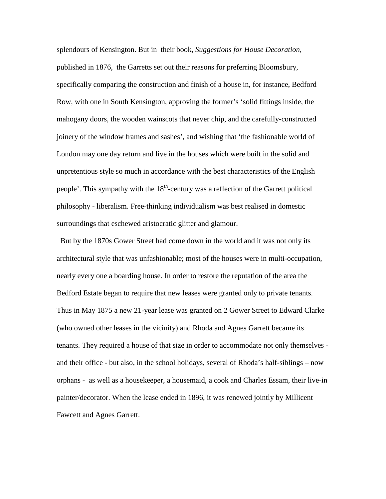splendours of Kensington. But in their book, *Suggestions for House Decoration*, published in 1876, the Garretts set out their reasons for preferring Bloomsbury, specifically comparing the construction and finish of a house in, for instance, Bedford Row, with one in South Kensington, approving the former's 'solid fittings inside, the mahogany doors, the wooden wainscots that never chip, and the carefully-constructed joinery of the window frames and sashes', and wishing that 'the fashionable world of London may one day return and live in the houses which were built in the solid and unpretentious style so much in accordance with the best characteristics of the English people'. This sympathy with the  $18<sup>th</sup>$ -century was a reflection of the Garrett political philosophy - liberalism. Free-thinking individualism was best realised in domestic surroundings that eschewed aristocratic glitter and glamour.

But by the 1870s Gower Street had come down in the world and it was not only its architectural style that was unfashionable; most of the houses were in multi-occupation, nearly every one a boarding house. In order to restore the reputation of the area the Bedford Estate began to require that new leases were granted only to private tenants. Thus in May 1875 a new 21-year lease was granted on 2 Gower Street to Edward Clarke (who owned other leases in the vicinity) and Rhoda and Agnes Garrett became its tenants. They required a house of that size in order to accommodate not only themselves and their office - but also, in the school holidays, several of Rhoda's half-siblings – now orphans - as well as a housekeeper, a housemaid, a cook and Charles Essam, their live-in painter/decorator. When the lease ended in 1896, it was renewed jointly by Millicent Fawcett and Agnes Garrett.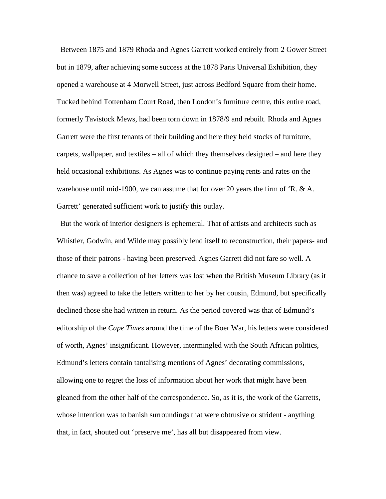Between 1875 and 1879 Rhoda and Agnes Garrett worked entirely from 2 Gower Street but in 1879, after achieving some success at the 1878 Paris Universal Exhibition, they opened a warehouse at 4 Morwell Street, just across Bedford Square from their home. Tucked behind Tottenham Court Road, then London's furniture centre, this entire road, formerly Tavistock Mews, had been torn down in 1878/9 and rebuilt. Rhoda and Agnes Garrett were the first tenants of their building and here they held stocks of furniture, carpets, wallpaper, and textiles – all of which they themselves designed – and here they held occasional exhibitions. As Agnes was to continue paying rents and rates on the warehouse until mid-1900, we can assume that for over 20 years the firm of 'R. & A. Garrett' generated sufficient work to justify this outlay.

But the work of interior designers is ephemeral. That of artists and architects such as Whistler, Godwin, and Wilde may possibly lend itself to reconstruction, their papers- and those of their patrons - having been preserved. Agnes Garrett did not fare so well. A chance to save a collection of her letters was lost when the British Museum Library (as it then was) agreed to take the letters written to her by her cousin, Edmund, but specifically declined those she had written in return. As the period covered was that of Edmund's editorship of the *Cape Times* around the time of the Boer War, his letters were considered of worth, Agnes' insignificant. However, intermingled with the South African politics, Edmund's letters contain tantalising mentions of Agnes' decorating commissions, allowing one to regret the loss of information about her work that might have been gleaned from the other half of the correspondence. So, as it is, the work of the Garretts, whose intention was to banish surroundings that were obtrusive or strident - anything that, in fact, shouted out 'preserve me', has all but disappeared from view.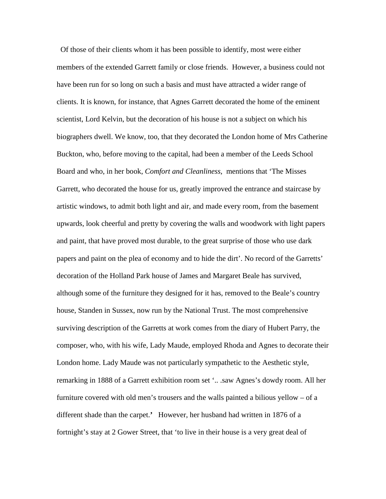Of those of their clients whom it has been possible to identify, most were either members of the extended Garrett family or close friends. However, a business could not have been run for so long on such a basis and must have attracted a wider range of clients. It is known, for instance, that Agnes Garrett decorated the home of the eminent scientist, Lord Kelvin, but the decoration of his house is not a subject on which his biographers dwell. We know, too, that they decorated the London home of Mrs Catherine Buckton, who, before moving to the capital, had been a member of the Leeds School Board and who, in her book, *Comfort and Cleanliness*, mentions that 'The Misses Garrett, who decorated the house for us, greatly improved the entrance and staircase by artistic windows, to admit both light and air, and made every room, from the basement upwards, look cheerful and pretty by covering the walls and woodwork with light papers and paint, that have proved most durable, to the great surprise of those who use dark papers and paint on the plea of economy and to hide the dirt'. No record of the Garretts' decoration of the Holland Park house of James and Margaret Beale has survived, although some of the furniture they designed for it has, removed to the Beale's country house, Standen in Sussex, now run by the National Trust. The most comprehensive surviving description of the Garretts at work comes from the diary of Hubert Parry, the composer, who, with his wife, Lady Maude, employed Rhoda and Agnes to decorate their London home. Lady Maude was not particularly sympathetic to the Aesthetic style, remarking in 1888 of a Garrett exhibition room set '.. .saw Agnes's dowdy room. All her furniture covered with old men's trousers and the walls painted a bilious yellow – of a different shade than the carpet.**'** However, her husband had written in 1876 of a fortnight's stay at 2 Gower Street, that 'to live in their house is a very great deal of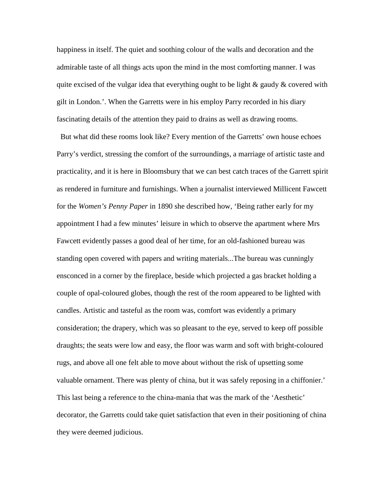happiness in itself. The quiet and soothing colour of the walls and decoration and the admirable taste of all things acts upon the mind in the most comforting manner. I was quite excised of the vulgar idea that everything ought to be light  $\&$  gaudy  $\&$  covered with gilt in London.'. When the Garretts were in his employ Parry recorded in his diary fascinating details of the attention they paid to drains as well as drawing rooms.

But what did these rooms look like? Every mention of the Garretts' own house echoes Parry's verdict, stressing the comfort of the surroundings, a marriage of artistic taste and practicality, and it is here in Bloomsbury that we can best catch traces of the Garrett spirit as rendered in furniture and furnishings. When a journalist interviewed Millicent Fawcett for the *Women's Penny Paper* in 1890 she described how, 'Being rather early for my appointment I had a few minutes' leisure in which to observe the apartment where Mrs Fawcett evidently passes a good deal of her time, for an old-fashioned bureau was standing open covered with papers and writing materials...The bureau was cunningly ensconced in a corner by the fireplace, beside which projected a gas bracket holding a couple of opal-coloured globes, though the rest of the room appeared to be lighted with candles. Artistic and tasteful as the room was, comfort was evidently a primary consideration; the drapery, which was so pleasant to the eye, served to keep off possible draughts; the seats were low and easy, the floor was warm and soft with bright-coloured rugs, and above all one felt able to move about without the risk of upsetting some valuable ornament. There was plenty of china, but it was safely reposing in a chiffonier.' This last being a reference to the china-mania that was the mark of the 'Aesthetic' decorator, the Garretts could take quiet satisfaction that even in their positioning of china they were deemed judicious.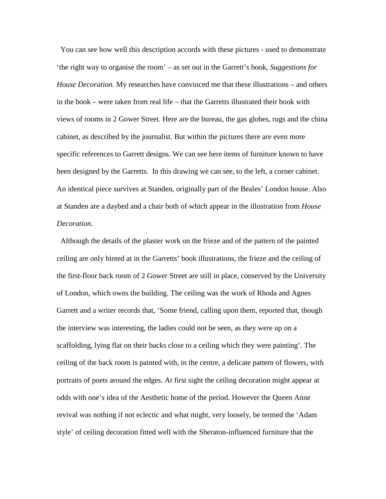You can see how well this description accords with these pictures - used to demonstrate 'the right way to organise the room' – as set out in the Garrett's book, *Suggestions for House Decoration*. My researches have convinced me that these illustrations – and others in the book – were taken from real life – that the Garretts illustrated their book with views of rooms in 2 Gower Street. Here are the bureau, the gas globes, rugs and the china cabinet, as described by the journalist. But within the pictures there are even more specific references to Garrett designs. We can see here items of furniture known to have been designed by the Garretts. In this drawing we can see, to the left, a corner cabinet. An identical piece survives at Standen, originally part of the Beales' London house. Also at Standen are a daybed and a chair both of which appear in the illustration from *House Decoration*.

Although the details of the plaster work on the frieze and of the pattern of the painted ceiling are only hinted at in the Garretts' book illustrations, the frieze and the ceiling of the first-floor back room of 2 Gower Street are still in place, conserved by the University of London, which owns the building. The ceiling was the work of Rhoda and Agnes Garrett and a writer records that, 'Some friend, calling upon them, reported that, though the interview was interesting, the ladies could not be seen, as they were up on a scaffolding, lying flat on their backs close to a ceiling which they were painting'. The ceiling of the back room is painted with, in the centre, a delicate pattern of flowers, with portraits of poets around the edges. At first sight the ceiling decoration might appear at odds with one's idea of the Aesthetic home of the period. However the Queen Anne revival was nothing if not eclectic and what might, very loosely, be termed the 'Adam style' of ceiling decoration fitted well with the Sheraton-influenced furniture that the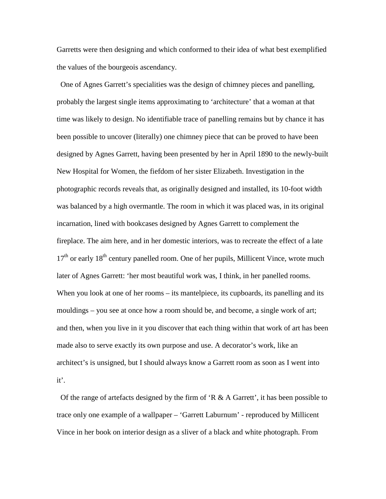Garretts were then designing and which conformed to their idea of what best exemplified the values of the bourgeois ascendancy.

One of Agnes Garrett's specialities was the design of chimney pieces and panelling, probably the largest single items approximating to 'architecture' that a woman at that time was likely to design. No identifiable trace of panelling remains but by chance it has been possible to uncover (literally) one chimney piece that can be proved to have been designed by Agnes Garrett, having been presented by her in April 1890 to the newly-built New Hospital for Women, the fiefdom of her sister Elizabeth. Investigation in the photographic records reveals that, as originally designed and installed, its 10-foot width was balanced by a high overmantle. The room in which it was placed was, in its original incarnation, lined with bookcases designed by Agnes Garrett to complement the fireplace. The aim here, and in her domestic interiors, was to recreate the effect of a late  $17<sup>th</sup>$  or early  $18<sup>th</sup>$  century panelled room. One of her pupils, Millicent Vince, wrote much later of Agnes Garrett: 'her most beautiful work was, I think, in her panelled rooms. When you look at one of her rooms – its mantelpiece, its cupboards, its panelling and its mouldings – you see at once how a room should be, and become, a single work of art; and then, when you live in it you discover that each thing within that work of art has been made also to serve exactly its own purpose and use. A decorator's work, like an architect's is unsigned, but I should always know a Garrett room as soon as I went into it'.

Of the range of artefacts designed by the firm of  $R \& A$  Garrett', it has been possible to trace only one example of a wallpaper – 'Garrett Laburnum' - reproduced by Millicent Vince in her book on interior design as a sliver of a black and white photograph. From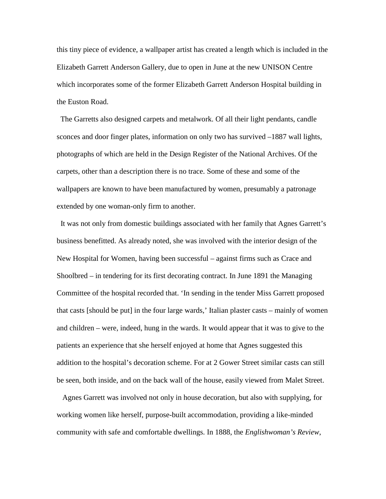this tiny piece of evidence, a wallpaper artist has created a length which is included in the Elizabeth Garrett Anderson Gallery, due to open in June at the new UNISON Centre which incorporates some of the former Elizabeth Garrett Anderson Hospital building in the Euston Road.

The Garretts also designed carpets and metalwork. Of all their light pendants, candle sconces and door finger plates, information on only two has survived –1887 wall lights, photographs of which are held in the Design Register of the National Archives. Of the carpets, other than a description there is no trace. Some of these and some of the wallpapers are known to have been manufactured by women, presumably a patronage extended by one woman-only firm to another.

It was not only from domestic buildings associated with her family that Agnes Garrett's business benefitted. As already noted, she was involved with the interior design of the New Hospital for Women, having been successful – against firms such as Crace and Shoolbred – in tendering for its first decorating contract. In June 1891 the Managing Committee of the hospital recorded that. 'In sending in the tender Miss Garrett proposed that casts [should be put] in the four large wards,' Italian plaster casts – mainly of women and children – were, indeed, hung in the wards. It would appear that it was to give to the patients an experience that she herself enjoyed at home that Agnes suggested this addition to the hospital's decoration scheme. For at 2 Gower Street similar casts can still be seen, both inside, and on the back wall of the house, easily viewed from Malet Street.

Agnes Garrett was involved not only in house decoration, but also with supplying, for working women like herself, purpose-built accommodation, providing a like-minded community with safe and comfortable dwellings. In 1888, the *Englishwoman's Review*,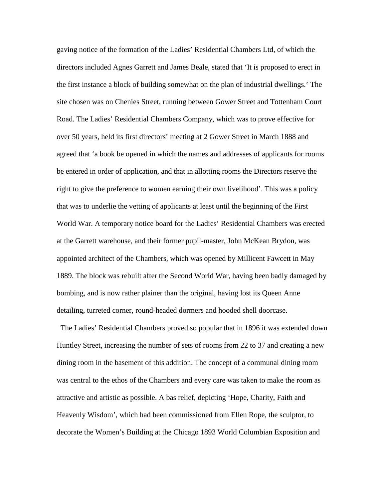gaving notice of the formation of the Ladies' Residential Chambers Ltd, of which the directors included Agnes Garrett and James Beale, stated that 'It is proposed to erect in the first instance a block of building somewhat on the plan of industrial dwellings.' The site chosen was on Chenies Street, running between Gower Street and Tottenham Court Road. The Ladies' Residential Chambers Company, which was to prove effective for over 50 years, held its first directors' meeting at 2 Gower Street in March 1888 and agreed that 'a book be opened in which the names and addresses of applicants for rooms be entered in order of application, and that in allotting rooms the Directors reserve the right to give the preference to women earning their own livelihood'. This was a policy that was to underlie the vetting of applicants at least until the beginning of the First World War. A temporary notice board for the Ladies' Residential Chambers was erected at the Garrett warehouse, and their former pupil-master, John McKean Brydon, was appointed architect of the Chambers, which was opened by Millicent Fawcett in May 1889. The block was rebuilt after the Second World War, having been badly damaged by bombing, and is now rather plainer than the original, having lost its Queen Anne detailing, turreted corner, round-headed dormers and hooded shell doorcase.

The Ladies' Residential Chambers proved so popular that in 1896 it was extended down Huntley Street, increasing the number of sets of rooms from 22 to 37 and creating a new dining room in the basement of this addition. The concept of a communal dining room was central to the ethos of the Chambers and every care was taken to make the room as attractive and artistic as possible. A bas relief, depicting 'Hope, Charity, Faith and Heavenly Wisdom', which had been commissioned from Ellen Rope, the sculptor, to decorate the Women's Building at the Chicago 1893 World Columbian Exposition and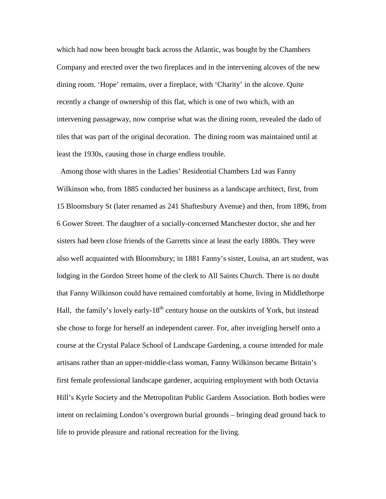which had now been brought back across the Atlantic, was bought by the Chambers Company and erected over the two fireplaces and in the intervening alcoves of the new dining room. 'Hope' remains, over a fireplace, with 'Charity' in the alcove. Quite recently a change of ownership of this flat, which is one of two which, with an intervening passageway, now comprise what was the dining room, revealed the dado of tiles that was part of the original decoration. The dining room was maintained until at least the 1930s, causing those in charge endless trouble.

Among those with shares in the Ladies' Residential Chambers Ltd was Fanny Wilkinson who, from 1885 conducted her business as a landscape architect, first, from 15 Bloomsbury St (later renamed as 241 Shaftesbury Avenue) and then, from 1896, from 6 Gower Street. The daughter of a socially-concerned Manchester doctor, she and her sisters had been close friends of the Garretts since at least the early 1880s. They were also well acquainted with Bloomsbury; in 1881 Fanny's sister, Louisa, an art student, was lodging in the Gordon Street home of the clerk to All Saints Church. There is no doubt that Fanny Wilkinson could have remained comfortably at home, living in Middlethorpe Hall, the family's lovely early- $18<sup>th</sup>$  century house on the outskirts of York, but instead she chose to forge for herself an independent career. For, after inveigling herself onto a course at the Crystal Palace School of Landscape Gardening, a course intended for male artisans rather than an upper-middle-class woman, Fanny Wilkinson became Britain's first female professional landscape gardener, acquiring employment with both Octavia Hill's Kyrle Society and the Metropolitan Public Gardens Association. Both bodies were intent on reclaiming London's overgrown burial grounds – bringing dead ground back to life to provide pleasure and rational recreation for the living.